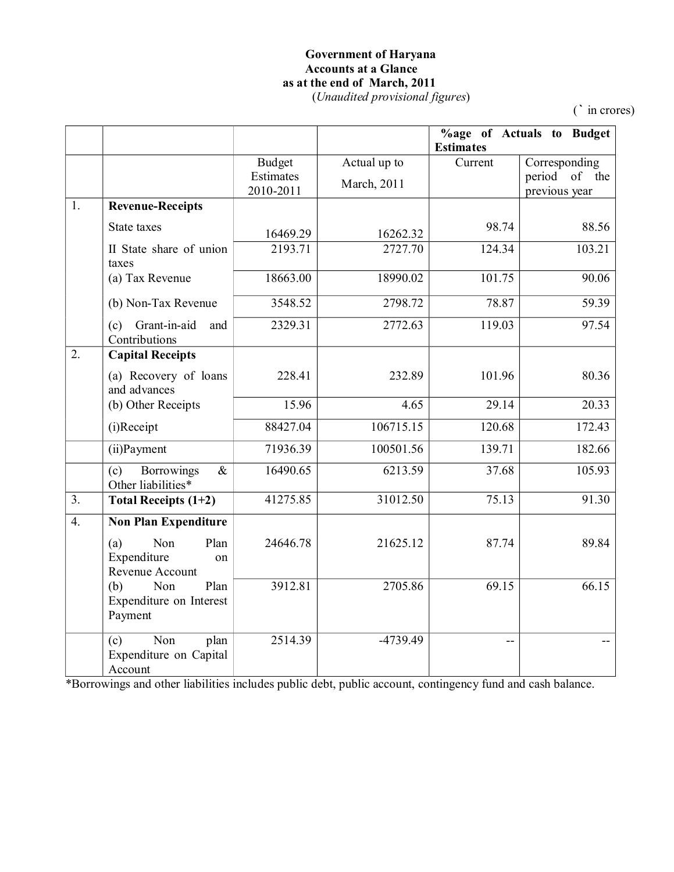### **Government of Haryana Accounts at a Glance as at the end of March, 2011** (*Unaudited provisional figures*)

(**`** in crores)

|                  |                                                            |                                         |                             | <b>Estimates</b> | %age of Actuals to Budget                       |
|------------------|------------------------------------------------------------|-----------------------------------------|-----------------------------|------------------|-------------------------------------------------|
|                  |                                                            | <b>Budget</b><br>Estimates<br>2010-2011 | Actual up to<br>March, 2011 | Current          | Corresponding<br>period of the<br>previous year |
| 1.               | <b>Revenue-Receipts</b>                                    |                                         |                             |                  |                                                 |
|                  | State taxes                                                | 16469.29                                | 16262.32                    | 98.74            | 88.56                                           |
|                  | II State share of union<br>taxes                           | 2193.71                                 | 2727.70                     | 124.34           | 103.21                                          |
|                  | (a) Tax Revenue                                            | 18663.00                                | 18990.02                    | 101.75           | 90.06                                           |
|                  | (b) Non-Tax Revenue                                        | 3548.52                                 | 2798.72                     | 78.87            | 59.39                                           |
|                  | Grant-in-aid<br>(c)<br>and<br>Contributions                | 2329.31                                 | 2772.63                     | 119.03           | 97.54                                           |
| 2.               | <b>Capital Receipts</b>                                    |                                         |                             |                  |                                                 |
|                  | (a) Recovery of loans<br>and advances                      | 228.41                                  | 232.89                      | 101.96           | 80.36                                           |
|                  | (b) Other Receipts                                         | 15.96                                   | 4.65                        | 29.14            | 20.33                                           |
|                  | (i)Receipt                                                 | 88427.04                                | 106715.15                   | 120.68           | 172.43                                          |
|                  | (ii) Payment                                               | 71936.39                                | 100501.56                   | 139.71           | 182.66                                          |
|                  | <b>Borrowings</b><br>$\&$<br>(c)<br>Other liabilities*     | 16490.65                                | 6213.59                     | 37.68            | 105.93                                          |
| 3 <sub>1</sub>   | Total Receipts (1+2)                                       | 41275.85                                | 31012.50                    | 75.13            | 91.30                                           |
| $\overline{4}$ . | <b>Non Plan Expenditure</b>                                |                                         |                             |                  |                                                 |
|                  | Non<br>Plan<br>(a)<br>Expenditure<br>on<br>Revenue Account | 24646.78                                | 21625.12                    | 87.74            | 89.84                                           |
|                  | (b)<br>Non<br>Plan<br>Expenditure on Interest<br>Payment   | 3912.81                                 | 2705.86                     | 69.15            | 66.15                                           |
|                  | Non<br>plan<br>(c)<br>Expenditure on Capital<br>Account    | 2514.39                                 | -4739.49                    |                  |                                                 |

\*Borrowings and other liabilities includes public debt, public account, contingency fund and cash balance.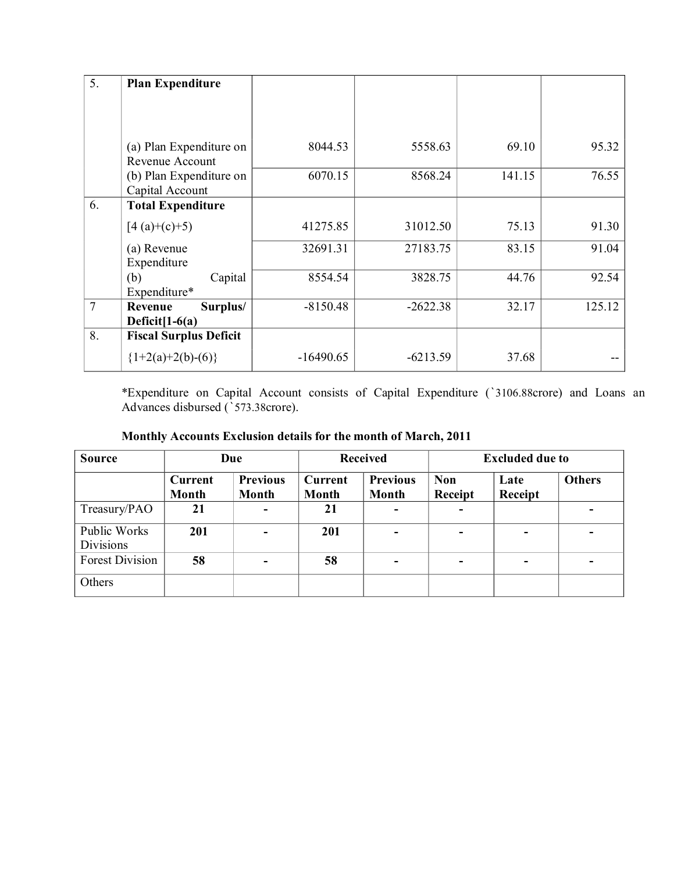| 5.             | <b>Plan Expenditure</b>                    |             |            |        |        |
|----------------|--------------------------------------------|-------------|------------|--------|--------|
|                |                                            |             |            |        |        |
|                |                                            |             |            |        |        |
|                | (a) Plan Expenditure on<br>Revenue Account | 8044.53     | 5558.63    | 69.10  | 95.32  |
|                | (b) Plan Expenditure on<br>Capital Account | 6070.15     | 8568.24    | 141.15 | 76.55  |
| 6.             | <b>Total Expenditure</b>                   |             |            |        |        |
|                | $[4(a)+(c)+5)$                             | 41275.85    | 31012.50   | 75.13  | 91.30  |
|                | (a) Revenue<br>Expenditure                 | 32691.31    | 27183.75   | 83.15  | 91.04  |
|                | (b)<br>Capital<br>Expenditure*             | 8554.54     | 3828.75    | 44.76  | 92.54  |
| $\overline{7}$ | Surplus/<br>Revenue<br>Deficit $[1-6(a)]$  | $-8150.48$  | $-2622.38$ | 32.17  | 125.12 |
| 8.             | <b>Fiscal Surplus Deficit</b>              |             |            |        |        |
|                | ${1+2(a)+2(b)-(6)}$                        | $-16490.65$ | $-6213.59$ | 37.68  |        |

\*Expenditure on Capital Account consists of Capital Expenditure ('3106.88crore) and Loans an Advances disbursed (`573.38crore).

| <b>Source</b>                    |                         | Due                      | <b>Excluded due to</b><br><b>Received</b> |                                 |                          |                 |               |
|----------------------------------|-------------------------|--------------------------|-------------------------------------------|---------------------------------|--------------------------|-----------------|---------------|
|                                  | <b>Current</b><br>Month | <b>Previous</b><br>Month | Current<br>Month                          | <b>Previous</b><br><b>Month</b> | <b>Non</b><br>Receipt    | Late<br>Receipt | <b>Others</b> |
| Treasury/PAO                     | 21                      |                          | 21                                        | $\equiv$                        | $\blacksquare$           |                 |               |
| Public Works<br><b>Divisions</b> | 201                     |                          | 201                                       | $\blacksquare$                  | $\overline{\phantom{0}}$ | ۰               |               |
| <b>Forest Division</b>           | 58                      |                          | 58                                        | ۰                               | $\overline{\phantom{0}}$ | ۰.              |               |
| Others                           |                         |                          |                                           |                                 |                          |                 |               |

| Monthly Accounts Exclusion details for the month of March, 2011 |
|-----------------------------------------------------------------|
|                                                                 |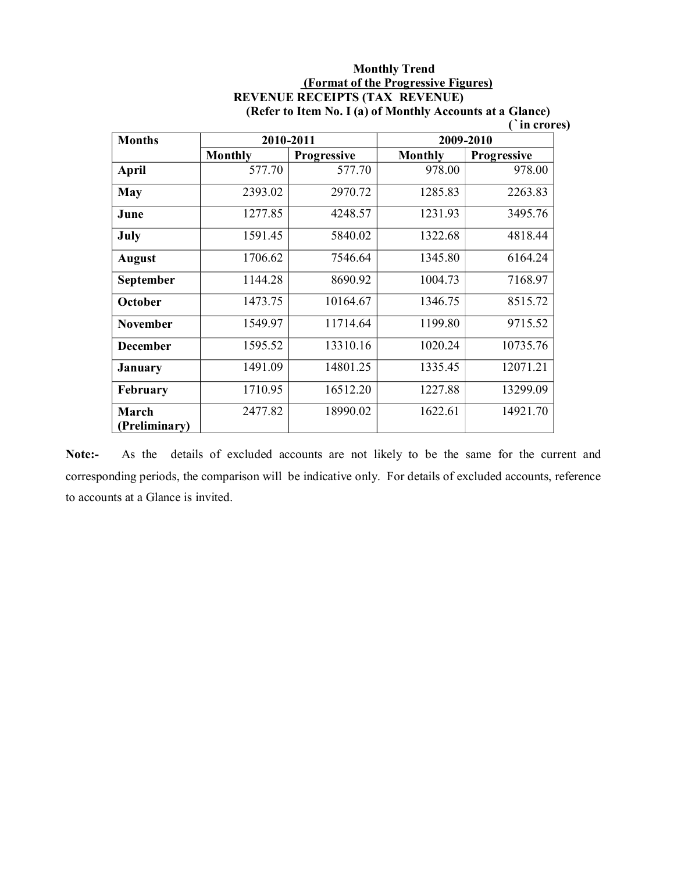### **Monthly Trend (Format of the Progressive Figures) REVENUE RECEIPTS (TAX REVENUE) (Refer to Item No. I (a) of Monthly Accounts at a Glance)**

**(`in crores)** 

| <b>Months</b>          |                | 2010-2011          | 2009-2010      |                    |  |
|------------------------|----------------|--------------------|----------------|--------------------|--|
|                        | <b>Monthly</b> | <b>Progressive</b> | <b>Monthly</b> | <b>Progressive</b> |  |
| April                  | 577.70         | 577.70             | 978.00         | 978.00             |  |
| May                    | 2393.02        | 2970.72            | 1285.83        | 2263.83            |  |
| June                   | 1277.85        | 4248.57            | 1231.93        | 3495.76            |  |
| July                   | 1591.45        | 5840.02            | 1322.68        | 4818.44            |  |
| <b>August</b>          | 1706.62        | 7546.64            | 1345.80        | 6164.24            |  |
| <b>September</b>       | 1144.28        | 8690.92            | 1004.73        | 7168.97            |  |
| October                | 1473.75        | 10164.67           | 1346.75        | 8515.72            |  |
| <b>November</b>        | 1549.97        | 11714.64           | 1199.80        | 9715.52            |  |
| <b>December</b>        | 1595.52        | 13310.16           | 1020.24        | 10735.76           |  |
| <b>January</b>         | 1491.09        | 14801.25           | 1335.45        | 12071.21           |  |
| <b>February</b>        | 1710.95        | 16512.20           | 1227.88        | 13299.09           |  |
| March<br>(Preliminary) | 2477.82        | 18990.02           | 1622.61        | 14921.70           |  |

Note:- As the details of excluded accounts are not likely to be the same for the current and corresponding periods, the comparison will be indicative only. For details of excluded accounts, reference to accounts at a Glance is invited.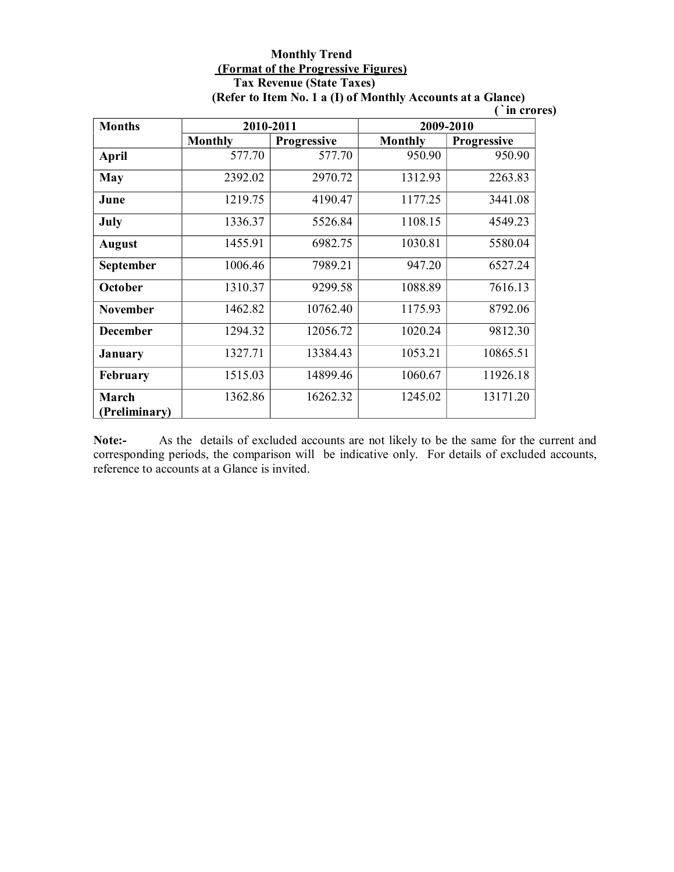### **Monthly Trend (Format of the Progressive Figures) Tax Revenue (State Taxes) (Refer to Item No. 1 a (I) of Monthly Accounts at a Glance)**

**(`in crores)**

| <b>Months</b>          |                | 2010-2011   | 2009-2010      |                    |  |
|------------------------|----------------|-------------|----------------|--------------------|--|
|                        | <b>Monthly</b> | Progressive | <b>Monthly</b> | <b>Progressive</b> |  |
| <b>April</b>           | 577.70         | 577.70      | 950.90         | 950.90             |  |
| May                    | 2392.02        | 2970.72     | 1312.93        | 2263.83            |  |
| June                   | 1219.75        | 4190.47     | 1177.25        | 3441.08            |  |
| July                   | 1336.37        | 5526.84     | 1108.15        | 4549.23            |  |
| <b>August</b>          | 1455.91        | 6982.75     | 1030.81        | 5580.04            |  |
| September              | 1006.46        | 7989.21     | 947.20         | 6527.24            |  |
| October                | 1310.37        | 9299.58     | 1088.89        | 7616.13            |  |
| <b>November</b>        | 1462.82        | 10762.40    | 1175.93        | 8792.06            |  |
| <b>December</b>        | 1294.32        | 12056.72    | 1020.24        | 9812.30            |  |
| <b>January</b>         | 1327.71        | 13384.43    | 1053.21        | 10865.51           |  |
| <b>February</b>        | 1515.03        | 14899.46    | 1060.67        | 11926.18           |  |
| March<br>(Preliminary) | 1362.86        | 16262.32    | 1245.02        | 13171.20           |  |

**Note:** As the details of excluded accounts are not likely to be the same for the current and corresponding periods, the comparison will be indicative only. For details of excluded accounts, reference to accounts at a Glance is invited.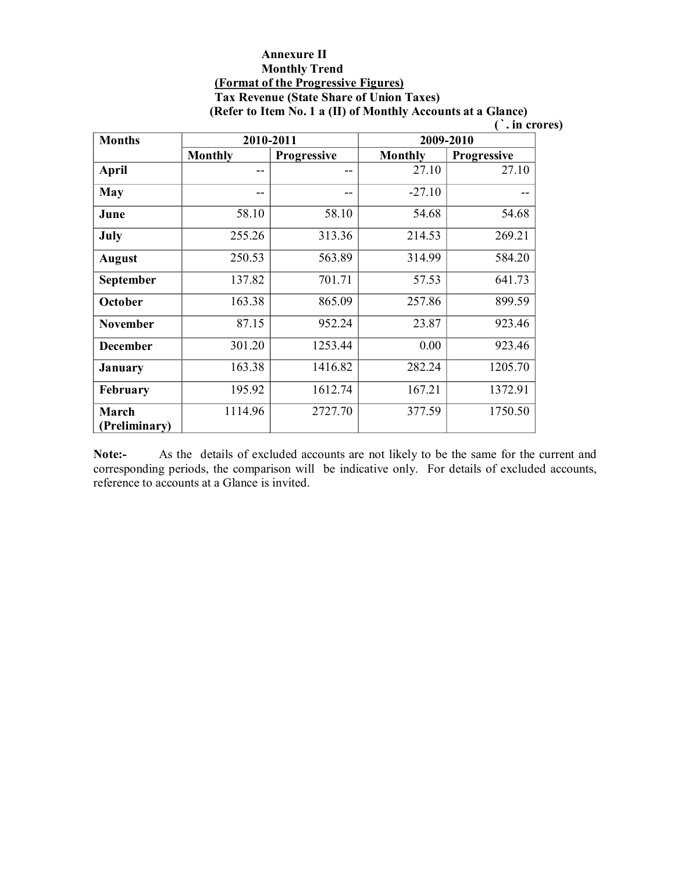### **Annexure II Monthly Trend (Format of the Progressive Figures) Tax Revenue (State Share of Union Taxes)**

**(Refer to Item No. 1 a (II) of Monthly Accounts at a Glance)**

**(`. in crores)** 

| <b>Months</b>                 |                | 2010-2011          |          | 2009-2010          |
|-------------------------------|----------------|--------------------|----------|--------------------|
|                               | <b>Monthly</b> | <b>Progressive</b> | Monthly  | <b>Progressive</b> |
| April                         | $- -$          | $- -$              | 27.10    | 27.10              |
| May                           | --             | --                 | $-27.10$ |                    |
| June                          | 58.10          | 58.10              | 54.68    | 54.68              |
| July                          | 255.26         | 313.36             | 214.53   | 269.21             |
| <b>August</b>                 | 250.53         | 563.89             | 314.99   | 584.20             |
| September                     | 137.82         | 701.71             | 57.53    | 641.73             |
| October                       | 163.38         | 865.09             | 257.86   | 899.59             |
| <b>November</b>               | 87.15          | 952.24             | 23.87    | 923.46             |
| <b>December</b>               | 301.20         | 1253.44            | 0.00     | 923.46             |
| <b>January</b>                | 163.38         | 1416.82            | 282.24   | 1205.70            |
| <b>February</b>               | 195.92         | 1612.74            | 167.21   | 1372.91            |
| <b>March</b><br>(Preliminary) | 1114.96        | 2727.70            | 377.59   | 1750.50            |

**Note:** As the details of excluded accounts are not likely to be the same for the current and corresponding periods, the comparison will be indicative only. For details of excluded accounts, reference to accounts at a Glance is invited.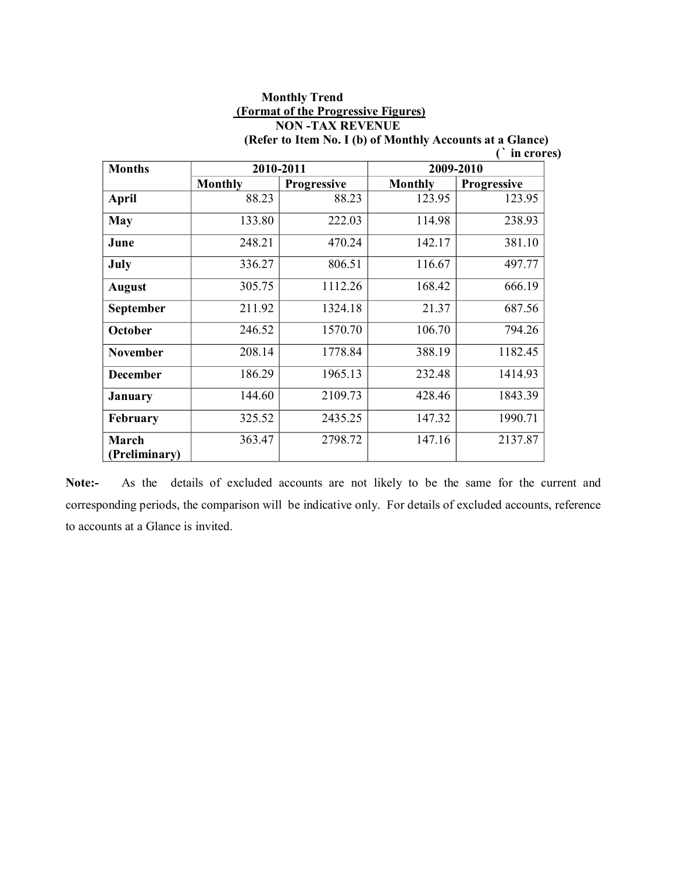# **Monthly Trend (Format of the Progressive Figures) NON -TAX REVENUE**

| <b>Months</b>          |                | 2010-2011          | 2009-2010      |                    |  |
|------------------------|----------------|--------------------|----------------|--------------------|--|
|                        | <b>Monthly</b> | <b>Progressive</b> | <b>Monthly</b> | <b>Progressive</b> |  |
| <b>April</b>           | 88.23          | 88.23              | 123.95         | 123.95             |  |
| <b>May</b>             | 133.80         | 222.03             | 114.98         | 238.93             |  |
| June                   | 248.21         | 470.24             | 142.17         | 381.10             |  |
| July                   | 336.27         | 806.51             | 116.67         | 497.77             |  |
| <b>August</b>          | 305.75         | 1112.26            | 168.42         | 666.19             |  |
| September              | 211.92         | 1324.18            | 21.37          | 687.56             |  |
| October                | 246.52         | 1570.70            | 106.70         | 794.26             |  |
| <b>November</b>        | 208.14         | 1778.84            | 388.19         | 1182.45            |  |
| <b>December</b>        | 186.29         | 1965.13            | 232.48         | 1414.93            |  |
| January                | 144.60         | 2109.73            | 428.46         | 1843.39            |  |
| <b>February</b>        | 325.52         | 2435.25            | 147.32         | 1990.71            |  |
| March<br>(Preliminary) | 363.47         | 2798.72            | 147.16         | 2137.87            |  |

**(Refer to Item No. I (b) of Monthly Accounts at a Glance) (` in crores)**

Note:- As the details of excluded accounts are not likely to be the same for the current and corresponding periods, the comparison will be indicative only. For details of excluded accounts, reference to accounts at a Glance is invited.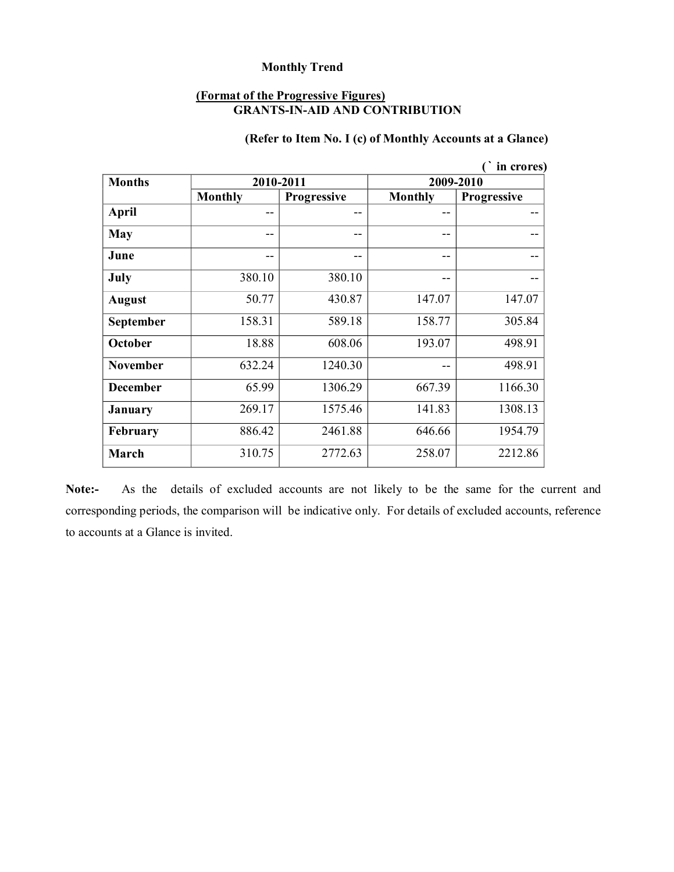#### **(Format of the Progressive Figures) GRANTS-IN-AID AND CONTRIBUTION**

## **(Refer to Item No. I (c) of Monthly Accounts at a Glance)**

| in crores)       |                |                    |                |                    |  |  |  |
|------------------|----------------|--------------------|----------------|--------------------|--|--|--|
| <b>Months</b>    |                | 2010-2011          | 2009-2010      |                    |  |  |  |
|                  | <b>Monthly</b> | <b>Progressive</b> | <b>Monthly</b> | <b>Progressive</b> |  |  |  |
| <b>April</b>     | --             | --                 | --             | --                 |  |  |  |
| <b>May</b>       | --             | --                 | --             |                    |  |  |  |
| June             | --             | --                 | --             | --                 |  |  |  |
| July             | 380.10         | 380.10             | --             | --                 |  |  |  |
| <b>August</b>    | 50.77          | 430.87             | 147.07         | 147.07             |  |  |  |
| <b>September</b> | 158.31         | 589.18             | 158.77         | 305.84             |  |  |  |
| October          | 18.88          | 608.06             | 193.07         | 498.91             |  |  |  |
| <b>November</b>  | 632.24         | 1240.30            | --             | 498.91             |  |  |  |
| <b>December</b>  | 65.99          | 1306.29            | 667.39         | 1166.30            |  |  |  |
| <b>January</b>   | 269.17         | 1575.46            | 141.83         | 1308.13            |  |  |  |
| <b>February</b>  | 886.42         | 2461.88            | 646.66         | 1954.79            |  |  |  |
| March            | 310.75         | 2772.63            | 258.07         | 2212.86            |  |  |  |

Note:- As the details of excluded accounts are not likely to be the same for the current and corresponding periods, the comparison will be indicative only. For details of excluded accounts, reference to accounts at a Glance is invited.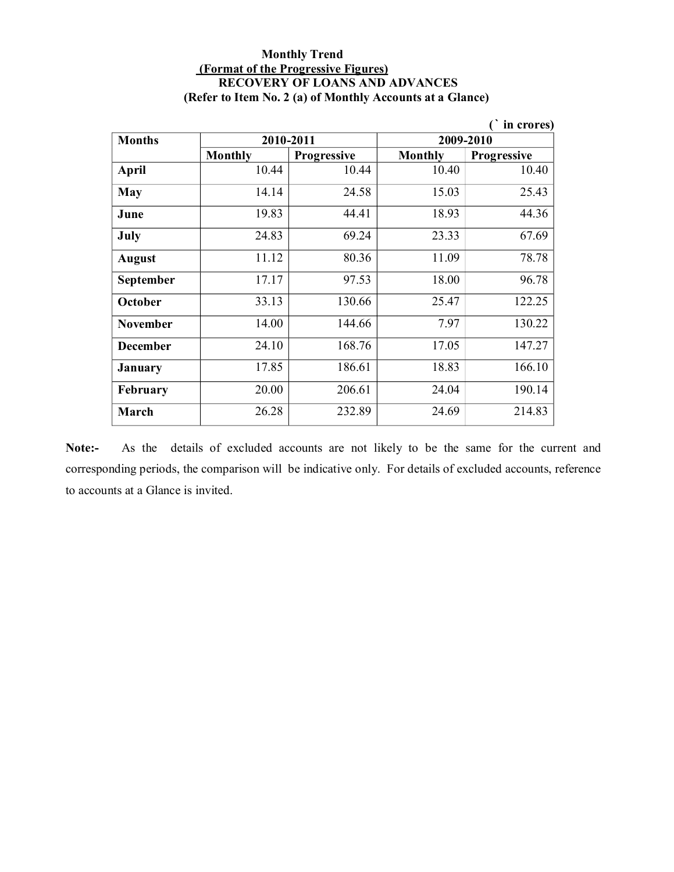### **Monthly Trend (Format of the Progressive Figures) RECOVERY OF LOANS AND ADVANCES (Refer to Item No. 2 (a) of Monthly Accounts at a Glance)**

|                  |                |                    |                | in crores)         |  |
|------------------|----------------|--------------------|----------------|--------------------|--|
| <b>Months</b>    |                | 2010-2011          | 2009-2010      |                    |  |
|                  | <b>Monthly</b> | <b>Progressive</b> | <b>Monthly</b> | <b>Progressive</b> |  |
| <b>April</b>     | 10.44          | 10.44              | 10.40          | 10.40              |  |
| May              | 14.14          | 24.58              | 15.03          | 25.43              |  |
| June             | 19.83          | 44.41              | 18.93          | 44.36              |  |
| July             | 24.83          | 69.24              | 23.33          | 67.69              |  |
| <b>August</b>    | 11.12          | 80.36              | 11.09          | 78.78              |  |
| <b>September</b> | 17.17          | 97.53              | 18.00          | 96.78              |  |
| October          | 33.13          | 130.66             | 25.47          | 122.25             |  |
| <b>November</b>  | 14.00          | 144.66             | 7.97           | 130.22             |  |
| <b>December</b>  | 24.10          | 168.76             | 17.05          | 147.27             |  |
| January          | 17.85          | 186.61             | 18.83          | 166.10             |  |
| February         | 20.00          | 206.61             | 24.04          | 190.14             |  |
| March            | 26.28          | 232.89             | 24.69          | 214.83             |  |

Note:- As the details of excluded accounts are not likely to be the same for the current and corresponding periods, the comparison will be indicative only. For details of excluded accounts, reference to accounts at a Glance is invited.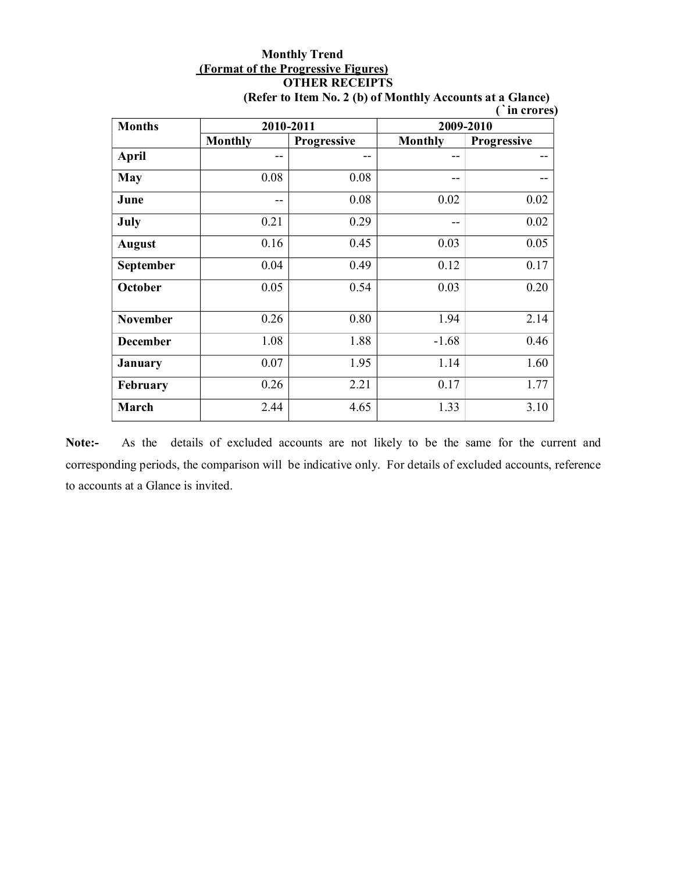# **Monthly Trend (Format of the Progressive Figures) OTHER RECEIPTS**

| <b>Months</b>   |                | 2010-2011   | 2009-2010      |             |  |
|-----------------|----------------|-------------|----------------|-------------|--|
|                 | <b>Monthly</b> | Progressive | <b>Monthly</b> | Progressive |  |
| April           | --             |             | --             |             |  |
| May             | 0.08           | 0.08        | --             |             |  |
| June            | --             | 0.08        | 0.02           | 0.02        |  |
| July            | 0.21           | 0.29        | --             | 0.02        |  |
| <b>August</b>   | 0.16           | 0.45        | 0.03           | 0.05        |  |
| September       | 0.04           | 0.49        | 0.12           | 0.17        |  |
| October         | 0.05           | 0.54        | 0.03           | 0.20        |  |
| <b>November</b> | 0.26           | 0.80        | 1.94           | 2.14        |  |
| <b>December</b> | 1.08           | 1.88        | $-1.68$        | 0.46        |  |
| <b>January</b>  | 0.07           | 1.95        | 1.14           | 1.60        |  |
| February        | 0.26           | 2.21        | 0.17           | 1.77        |  |
| March           | 2.44           | 4.65        | 1.33           | 3.10        |  |

**(Refer to Item No. 2 (b) of Monthly Accounts at a Glance) (`in crores)** 

Note:- As the details of excluded accounts are not likely to be the same for the current and corresponding periods, the comparison will be indicative only. For details of excluded accounts, reference to accounts at a Glance is invited.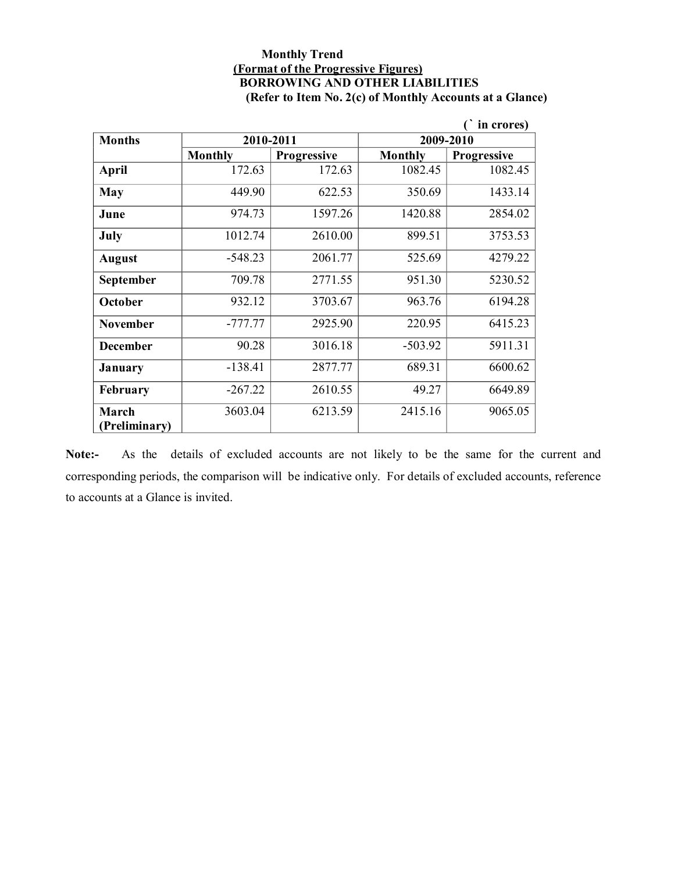#### **Monthly Trend (Format of the Progressive Figures) BORROWING AND OTHER LIABILITIES (Refer to Item No. 2(c) of Monthly Accounts at a Glance)**

|                        |                |                    |                | in crores)         |  |
|------------------------|----------------|--------------------|----------------|--------------------|--|
| <b>Months</b>          | 2010-2011      |                    | 2009-2010      |                    |  |
|                        | <b>Monthly</b> | <b>Progressive</b> | <b>Monthly</b> | <b>Progressive</b> |  |
| <b>April</b>           | 172.63         | 172.63             | 1082.45        | 1082.45            |  |
| May                    | 449.90         | 622.53             | 350.69         | 1433.14            |  |
| June                   | 974.73         | 1597.26            | 1420.88        | 2854.02            |  |
| July                   | 1012.74        | 2610.00            | 899.51         | 3753.53            |  |
| <b>August</b>          | $-548.23$      | 2061.77            | 525.69         | 4279.22            |  |
| September              | 709.78         | 2771.55            | 951.30         | 5230.52            |  |
| October                | 932.12         | 3703.67            | 963.76         | 6194.28            |  |
| <b>November</b>        | $-777.77$      | 2925.90            | 220.95         | 6415.23            |  |
| <b>December</b>        | 90.28          | 3016.18            | $-503.92$      | 5911.31            |  |
| January                | $-138.41$      | 2877.77            | 689.31         | 6600.62            |  |
| <b>February</b>        | $-267.22$      | 2610.55            | 49.27          | 6649.89            |  |
| March<br>(Preliminary) | 3603.04        | 6213.59            | 2415.16        | 9065.05            |  |

Note:- As the details of excluded accounts are not likely to be the same for the current and corresponding periods, the comparison will be indicative only. For details of excluded accounts, reference to accounts at a Glance is invited.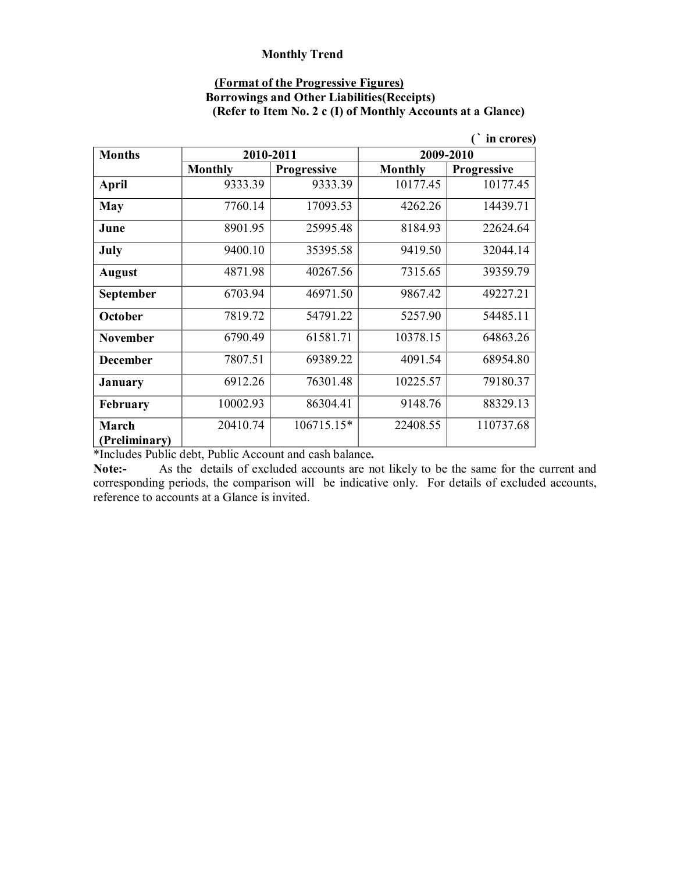#### **(Format of the Progressive Figures)**

### **Borrowings and Other Liabilities(Receipts) (Refer to Item No. 2 c (I) of Monthly Accounts at a Glance)**

|                 |                |                    |                | in crores)         |
|-----------------|----------------|--------------------|----------------|--------------------|
| <b>Months</b>   |                | 2010-2011          |                | 2009-2010          |
|                 | <b>Monthly</b> | <b>Progressive</b> | <b>Monthly</b> | <b>Progressive</b> |
| <b>April</b>    | 9333.39        | 9333.39            | 10177.45       | 10177.45           |
| <b>May</b>      | 7760.14        | 17093.53           | 4262.26        | 14439.71           |
| June            | 8901.95        | 25995.48           | 8184.93        | 22624.64           |
| July            | 9400.10        | 35395.58           | 9419.50        | 32044.14           |
| <b>August</b>   | 4871.98        | 40267.56           | 7315.65        | 39359.79           |
| September       | 6703.94        | 46971.50           | 9867.42        | 49227.21           |
| October         | 7819.72        | 54791.22           | 5257.90        | 54485.11           |
| <b>November</b> | 6790.49        | 61581.71           | 10378.15       | 64863.26           |
| <b>December</b> | 7807.51        | 69389.22           | 4091.54        | 68954.80           |
| <b>January</b>  | 6912.26        | 76301.48           | 10225.57       | 79180.37           |
| <b>February</b> | 10002.93       | 86304.41           | 9148.76        | 88329.13           |
| March           | 20410.74       | 106715.15*         | 22408.55       | 110737.68          |
| (Preliminary)   |                |                    |                |                    |

\*Includes Public debt, Public Account and cash balance**.** 

**Note:** As the details of excluded accounts are not likely to be the same for the current and corresponding periods, the comparison will be indicative only. For details of excluded accounts, reference to accounts at a Glance is invited.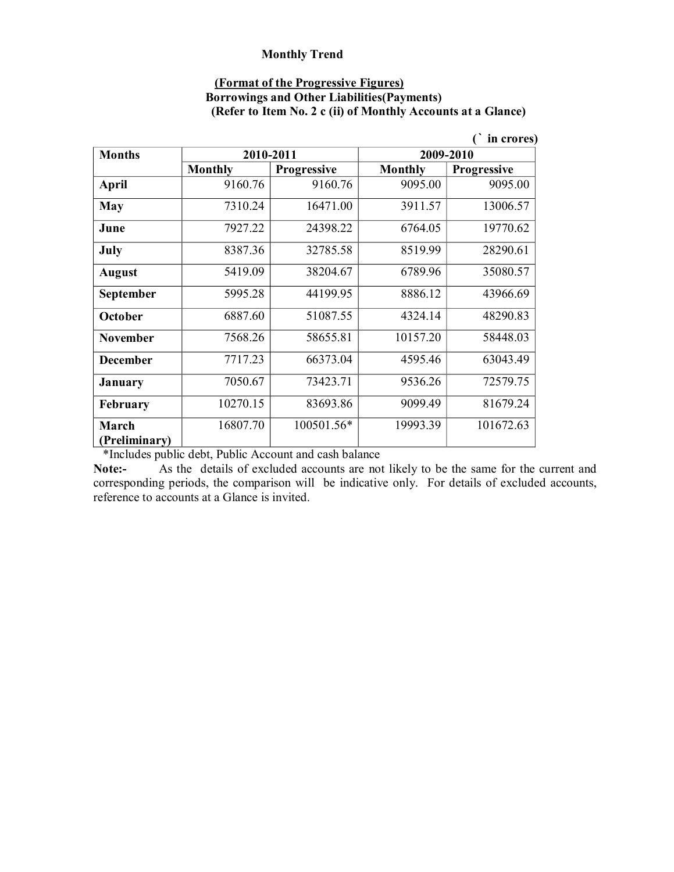#### **(Format of the Progressive Figures)**

### **Borrowings and Other Liabilities(Payments) (Refer to Item No. 2 c (ii) of Monthly Accounts at a Glance)**

|                 |                |                    |                | in crores)         |
|-----------------|----------------|--------------------|----------------|--------------------|
| <b>Months</b>   |                | 2010-2011          |                | 2009-2010          |
|                 | <b>Monthly</b> | <b>Progressive</b> | <b>Monthly</b> | <b>Progressive</b> |
| <b>April</b>    | 9160.76        | 9160.76            | 9095.00        | 9095.00            |
| <b>May</b>      | 7310.24        | 16471.00           | 3911.57        | 13006.57           |
| June            | 7927.22        | 24398.22           | 6764.05        | 19770.62           |
| July            | 8387.36        | 32785.58           | 8519.99        | 28290.61           |
| <b>August</b>   | 5419.09        | 38204.67           | 6789.96        | 35080.57           |
| September       | 5995.28        | 44199.95           | 8886.12        | 43966.69           |
| October         | 6887.60        | 51087.55           | 4324.14        | 48290.83           |
| <b>November</b> | 7568.26        | 58655.81           | 10157.20       | 58448.03           |
| <b>December</b> | 7717.23        | 66373.04           | 4595.46        | 63043.49           |
| January         | 7050.67        | 73423.71           | 9536.26        | 72579.75           |
| February        | 10270.15       | 83693.86           | 9099.49        | 81679.24           |
| March           | 16807.70       | 100501.56*         | 19993.39       | 101672.63          |
| (Preliminary)   |                |                    |                |                    |

\*Includes public debt, Public Account and cash balance

**Note:** As the details of excluded accounts are not likely to be the same for the current and corresponding periods, the comparison will be indicative only. For details of excluded accounts, reference to accounts at a Glance is invited.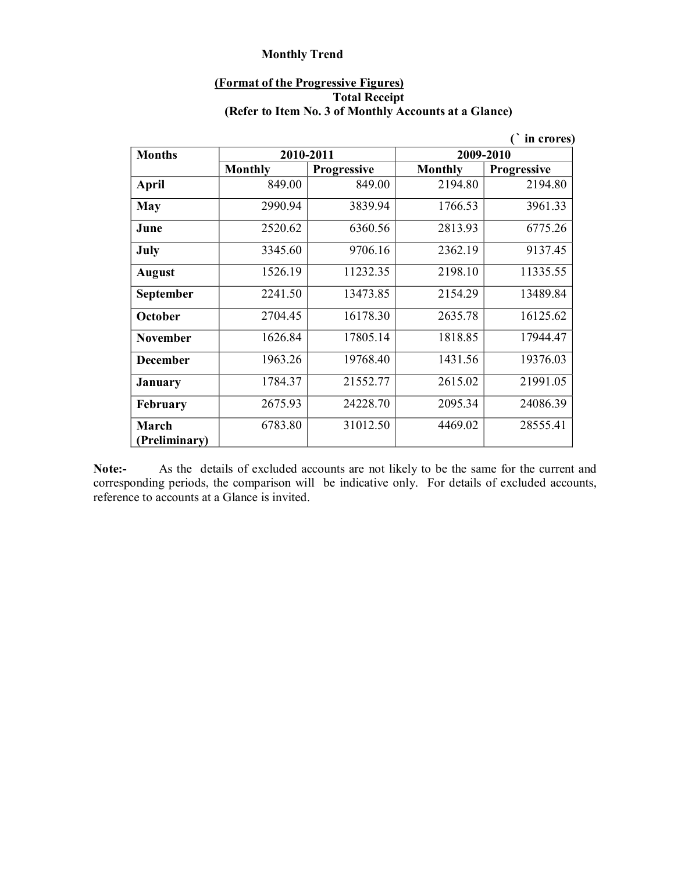### **(Format of the Progressive Figures) Total Receipt (Refer to Item No. 3 of Monthly Accounts at a Glance)**

|                        |                |                    |           | in crores)         |
|------------------------|----------------|--------------------|-----------|--------------------|
| <b>Months</b>          |                | 2010-2011          | 2009-2010 |                    |
|                        | <b>Monthly</b> | <b>Progressive</b> | Monthly   | <b>Progressive</b> |
| <b>April</b>           | 849.00         | 849.00             | 2194.80   | 2194.80            |
| <b>May</b>             | 2990.94        | 3839.94            | 1766.53   | 3961.33            |
| June                   | 2520.62        | 6360.56            | 2813.93   | 6775.26            |
| July                   | 3345.60        | 9706.16            | 2362.19   | 9137.45            |
| <b>August</b>          | 1526.19        | 11232.35           | 2198.10   | 11335.55           |
| September              | 2241.50        | 13473.85           | 2154.29   | 13489.84           |
| October                | 2704.45        | 16178.30           | 2635.78   | 16125.62           |
| <b>November</b>        | 1626.84        | 17805.14           | 1818.85   | 17944.47           |
| <b>December</b>        | 1963.26        | 19768.40           | 1431.56   | 19376.03           |
| <b>January</b>         | 1784.37        | 21552.77           | 2615.02   | 21991.05           |
| <b>February</b>        | 2675.93        | 24228.70           | 2095.34   | 24086.39           |
| March<br>(Preliminary) | 6783.80        | 31012.50           | 4469.02   | 28555.41           |

**Note:** As the details of excluded accounts are not likely to be the same for the current and corresponding periods, the comparison will be indicative only. For details of excluded accounts, reference to accounts at a Glance is invited.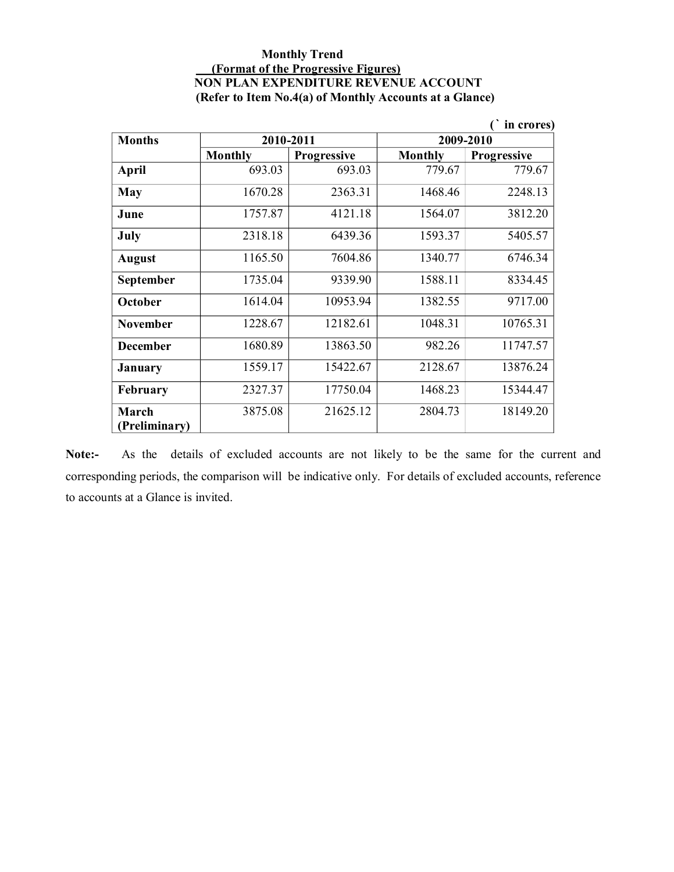### **Monthly Trend (Format of the Progressive Figures) NON PLAN EXPENDITURE REVENUE ACCOUNT (Refer to Item No.4(a) of Monthly Accounts at a Glance)**

| in crores)             |                |                    |                |                    |
|------------------------|----------------|--------------------|----------------|--------------------|
| <b>Months</b>          | 2010-2011      |                    | 2009-2010      |                    |
|                        | <b>Monthly</b> | <b>Progressive</b> | <b>Monthly</b> | <b>Progressive</b> |
| April                  | 693.03         | 693.03             | 779.67         | 779.67             |
| May                    | 1670.28        | 2363.31            | 1468.46        | 2248.13            |
| June                   | 1757.87        | 4121.18            | 1564.07        | 3812.20            |
| July                   | 2318.18        | 6439.36            | 1593.37        | 5405.57            |
| <b>August</b>          | 1165.50        | 7604.86            | 1340.77        | 6746.34            |
| <b>September</b>       | 1735.04        | 9339.90            | 1588.11        | 8334.45            |
| October                | 1614.04        | 10953.94           | 1382.55        | 9717.00            |
| <b>November</b>        | 1228.67        | 12182.61           | 1048.31        | 10765.31           |
| <b>December</b>        | 1680.89        | 13863.50           | 982.26         | 11747.57           |
| <b>January</b>         | 1559.17        | 15422.67           | 2128.67        | 13876.24           |
| February               | 2327.37        | 17750.04           | 1468.23        | 15344.47           |
| March<br>(Preliminary) | 3875.08        | 21625.12           | 2804.73        | 18149.20           |

Note:- As the details of excluded accounts are not likely to be the same for the current and corresponding periods, the comparison will be indicative only. For details of excluded accounts, reference to accounts at a Glance is invited.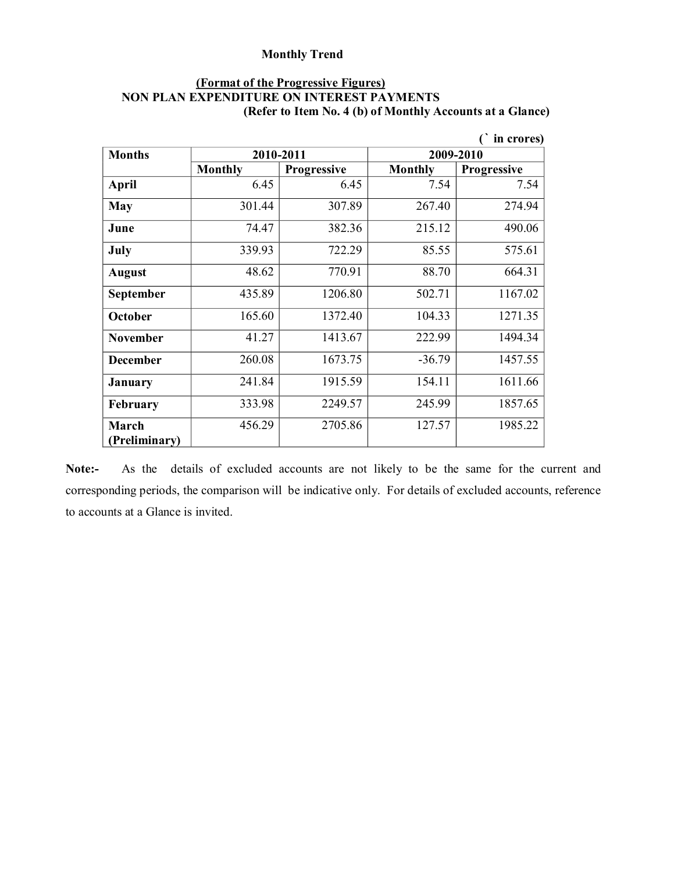### **(Format of the Progressive Figures) NON PLAN EXPENDITURE ON INTEREST PAYMENTS (Refer to Item No. 4 (b) of Monthly Accounts at a Glance)**

|                        |                |                    |                | in crores)         |
|------------------------|----------------|--------------------|----------------|--------------------|
| <b>Months</b>          | 2010-2011      |                    |                | 2009-2010          |
|                        | <b>Monthly</b> | <b>Progressive</b> | <b>Monthly</b> | <b>Progressive</b> |
| April                  | 6.45           | 6.45               | 7.54           | 7.54               |
| <b>May</b>             | 301.44         | 307.89             | 267.40         | 274.94             |
| June                   | 74.47          | 382.36             | 215.12         | 490.06             |
| July                   | 339.93         | 722.29             | 85.55          | 575.61             |
| <b>August</b>          | 48.62          | 770.91             | 88.70          | 664.31             |
| September              | 435.89         | 1206.80            | 502.71         | 1167.02            |
| October                | 165.60         | 1372.40            | 104.33         | 1271.35            |
| <b>November</b>        | 41.27          | 1413.67            | 222.99         | 1494.34            |
| <b>December</b>        | 260.08         | 1673.75            | $-36.79$       | 1457.55            |
| <b>January</b>         | 241.84         | 1915.59            | 154.11         | 1611.66            |
| <b>February</b>        | 333.98         | 2249.57            | 245.99         | 1857.65            |
| March<br>(Preliminary) | 456.29         | 2705.86            | 127.57         | 1985.22            |

Note:- As the details of excluded accounts are not likely to be the same for the current and corresponding periods, the comparison will be indicative only. For details of excluded accounts, reference to accounts at a Glance is invited.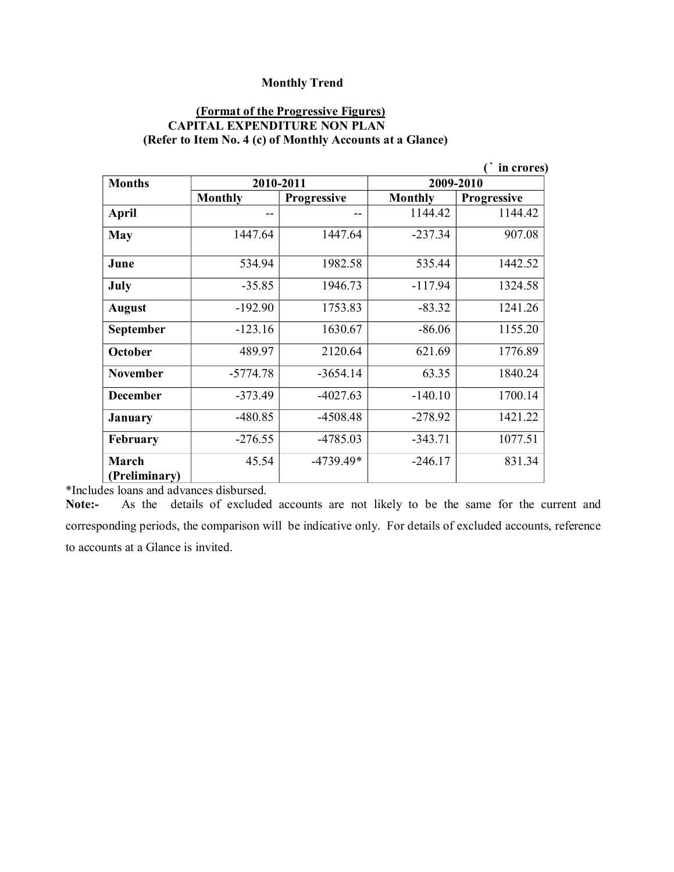#### **(Format of the Progressive Figures) CAPITAL EXPENDITURE NON PLAN (Refer to Item No. 4 (c) of Monthly Accounts at a Glance)**

|                  |                |                    |                | in crores)         |
|------------------|----------------|--------------------|----------------|--------------------|
| <b>Months</b>    |                | 2010-2011          | 2009-2010      |                    |
|                  | <b>Monthly</b> | <b>Progressive</b> | <b>Monthly</b> | <b>Progressive</b> |
| <b>April</b>     |                |                    | 1144.42        | 1144.42            |
| May              | 1447.64        | 1447.64            | $-237.34$      | 907.08             |
| June             | 534.94         | 1982.58            | 535.44         | 1442.52            |
| July             | $-35.85$       | 1946.73            | $-117.94$      | 1324.58            |
| <b>August</b>    | $-192.90$      | 1753.83            | $-83.32$       | 1241.26            |
| <b>September</b> | $-123.16$      | 1630.67            | $-86.06$       | 1155.20            |
| October          | 489.97         | 2120.64            | 621.69         | 1776.89            |
| <b>November</b>  | $-5774.78$     | $-3654.14$         | 63.35          | 1840.24            |
| <b>December</b>  | $-373.49$      | $-4027.63$         | $-140.10$      | 1700.14            |
| January          | $-480.85$      | $-4508.48$         | $-278.92$      | 1421.22            |
| <b>February</b>  | $-276.55$      | $-4785.03$         | $-343.71$      | 1077.51            |
| March            | 45.54          | $-4739.49*$        | $-246.17$      | 831.34             |
| (Preliminary)    |                |                    |                |                    |

\*Includes loans and advances disbursed.

Note:- As the details of excluded accounts are not likely to be the same for the current and corresponding periods, the comparison will be indicative only. For details of excluded accounts, reference to accounts at a Glance is invited.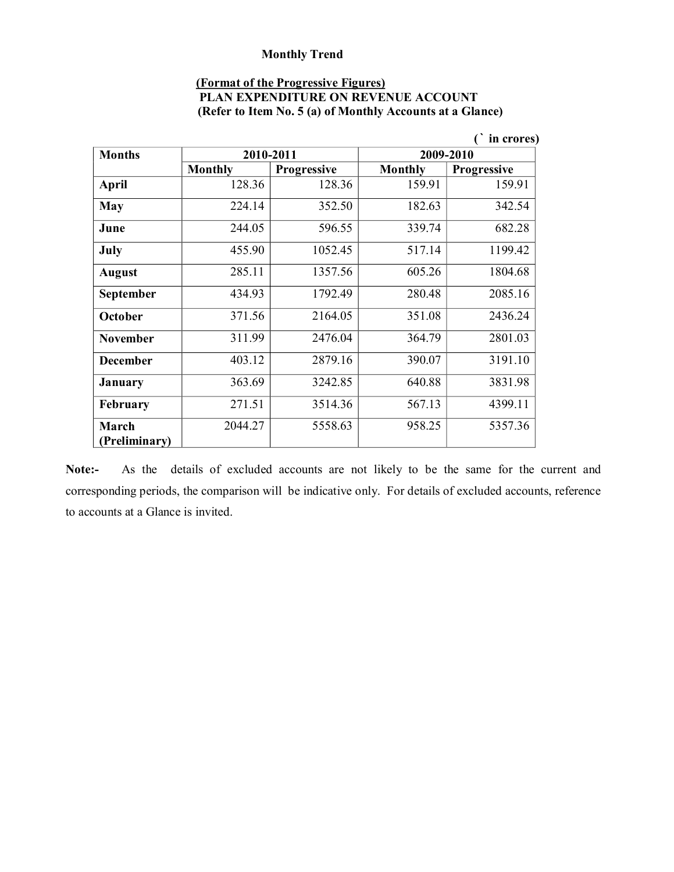### **(Format of the Progressive Figures)**

| PLAN EXPENDITURE ON REVENUE ACCOUNT                       |  |
|-----------------------------------------------------------|--|
| (Refer to Item No. 5 (a) of Monthly Accounts at a Glance) |  |

|                        |                |                    |                | in crores)         |
|------------------------|----------------|--------------------|----------------|--------------------|
| <b>Months</b>          | 2010-2011      |                    | 2009-2010      |                    |
|                        | <b>Monthly</b> | <b>Progressive</b> | <b>Monthly</b> | <b>Progressive</b> |
| <b>April</b>           | 128.36         | 128.36             | 159.91         | 159.91             |
| <b>May</b>             | 224.14         | 352.50             | 182.63         | 342.54             |
| June                   | 244.05         | 596.55             | 339.74         | 682.28             |
| July                   | 455.90         | 1052.45            | 517.14         | 1199.42            |
| <b>August</b>          | 285.11         | 1357.56            | 605.26         | 1804.68            |
| September              | 434.93         | 1792.49            | 280.48         | 2085.16            |
| October                | 371.56         | 2164.05            | 351.08         | 2436.24            |
| <b>November</b>        | 311.99         | 2476.04            | 364.79         | 2801.03            |
| <b>December</b>        | 403.12         | 2879.16            | 390.07         | 3191.10            |
| <b>January</b>         | 363.69         | 3242.85            | 640.88         | 3831.98            |
| <b>February</b>        | 271.51         | 3514.36            | 567.13         | 4399.11            |
| March<br>(Preliminary) | 2044.27        | 5558.63            | 958.25         | 5357.36            |

Note:- As the details of excluded accounts are not likely to be the same for the current and corresponding periods, the comparison will be indicative only. For details of excluded accounts, reference to accounts at a Glance is invited.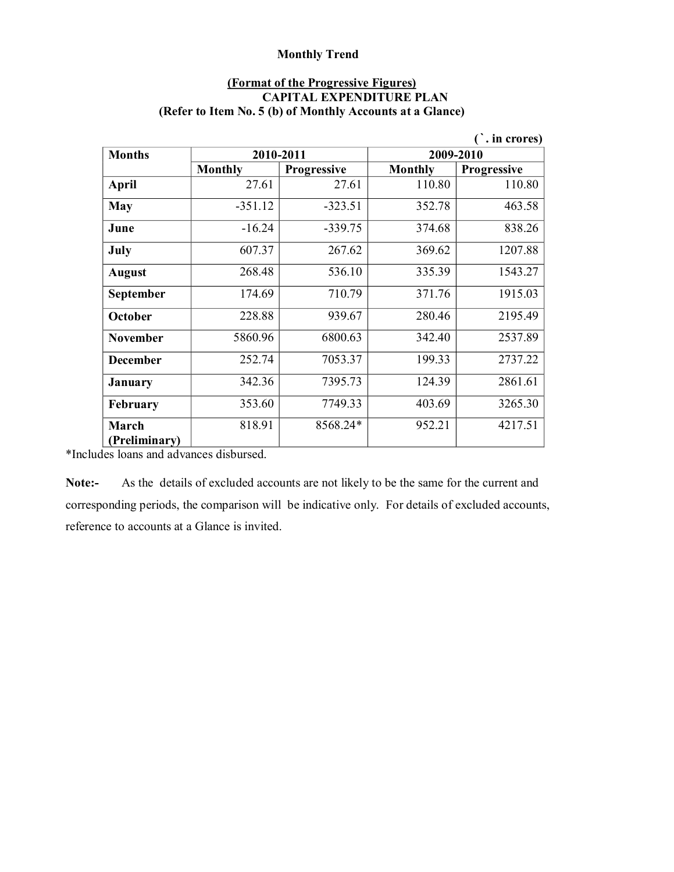### **(Format of the Progressive Figures) CAPITAL EXPENDITURE PLAN (Refer to Item No. 5 (b) of Monthly Accounts at a Glance)**

|                 |                |                    |                | in crores)         |
|-----------------|----------------|--------------------|----------------|--------------------|
| <b>Months</b>   |                | 2010-2011          | 2009-2010      |                    |
|                 | <b>Monthly</b> | <b>Progressive</b> | <b>Monthly</b> | <b>Progressive</b> |
| April           | 27.61          | 27.61              | 110.80         | 110.80             |
| <b>May</b>      | $-351.12$      | $-323.51$          | 352.78         | 463.58             |
| June            | $-16.24$       | $-339.75$          | 374.68         | 838.26             |
| July            | 607.37         | 267.62             | 369.62         | 1207.88            |
| <b>August</b>   | 268.48         | 536.10             | 335.39         | 1543.27            |
| September       | 174.69         | 710.79             | 371.76         | 1915.03            |
| October         | 228.88         | 939.67             | 280.46         | 2195.49            |
| <b>November</b> | 5860.96        | 6800.63            | 342.40         | 2537.89            |
| <b>December</b> | 252.74         | 7053.37            | 199.33         | 2737.22            |
| January         | 342.36         | 7395.73            | 124.39         | 2861.61            |
| <b>February</b> | 353.60         | 7749.33            | 403.69         | 3265.30            |
| March           | 818.91         | 8568.24*           | 952.21         | 4217.51            |
| (Preliminary)   |                |                    |                |                    |

\*Includes loans and advances disbursed.

**Note:** As the details of excluded accounts are not likely to be the same for the current and corresponding periods, the comparison will be indicative only. For details of excluded accounts, reference to accounts at a Glance is invited.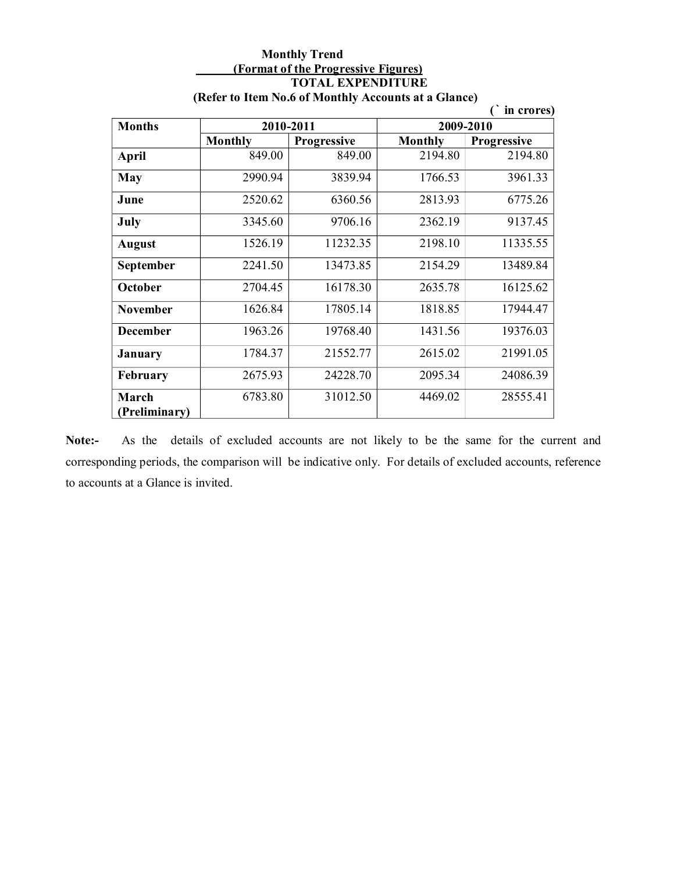#### **Monthly Trend (Format of the Progressive Figures) TOTAL EXPENDITURE (Refer to Item No.6 of Monthly Accounts at a Glance)**

|                        |                |                    |                | in crores)         |
|------------------------|----------------|--------------------|----------------|--------------------|
| <b>Months</b>          | 2010-2011      |                    | 2009-2010      |                    |
|                        | <b>Monthly</b> | <b>Progressive</b> | <b>Monthly</b> | <b>Progressive</b> |
| <b>April</b>           | 849.00         | 849.00             | 2194.80        | 2194.80            |
| May                    | 2990.94        | 3839.94            | 1766.53        | 3961.33            |
| June                   | 2520.62        | 6360.56            | 2813.93        | 6775.26            |
| July                   | 3345.60        | 9706.16            | 2362.19        | 9137.45            |
| <b>August</b>          | 1526.19        | 11232.35           | 2198.10        | 11335.55           |
| September              | 2241.50        | 13473.85           | 2154.29        | 13489.84           |
| October                | 2704.45        | 16178.30           | 2635.78        | 16125.62           |
| <b>November</b>        | 1626.84        | 17805.14           | 1818.85        | 17944.47           |
| <b>December</b>        | 1963.26        | 19768.40           | 1431.56        | 19376.03           |
| <b>January</b>         | 1784.37        | 21552.77           | 2615.02        | 21991.05           |
| <b>February</b>        | 2675.93        | 24228.70           | 2095.34        | 24086.39           |
| March<br>(Preliminary) | 6783.80        | 31012.50           | 4469.02        | 28555.41           |

Note:- As the details of excluded accounts are not likely to be the same for the current and corresponding periods, the comparison will be indicative only. For details of excluded accounts, reference to accounts at a Glance is invited.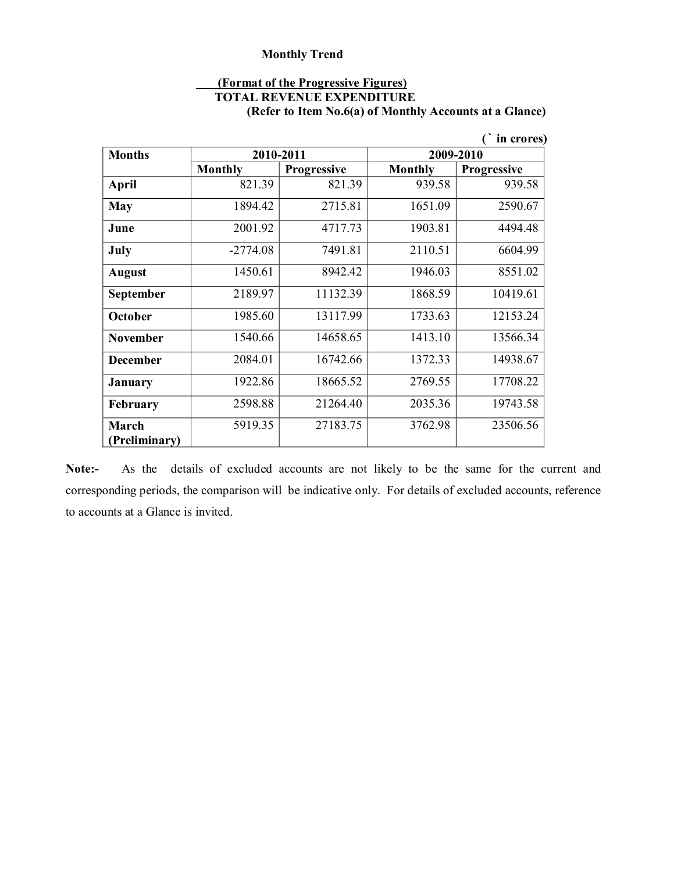#### **(Format of the Progressive Figures)**

**TOTAL REVENUE EXPENDITURE** 

**(Refer to Item No.6(a) of Monthly Accounts at a Glance)**

|                        |                |                    |                | in crores)         |
|------------------------|----------------|--------------------|----------------|--------------------|
| <b>Months</b>          | 2010-2011      |                    | 2009-2010      |                    |
|                        | <b>Monthly</b> | <b>Progressive</b> | <b>Monthly</b> | <b>Progressive</b> |
| April                  | 821.39         | 821.39             | 939.58         | 939.58             |
| May                    | 1894.42        | 2715.81            | 1651.09        | 2590.67            |
| June                   | 2001.92        | 4717.73            | 1903.81        | 4494.48            |
| July                   | $-2774.08$     | 7491.81            | 2110.51        | 6604.99            |
| <b>August</b>          | 1450.61        | 8942.42            | 1946.03        | 8551.02            |
| September              | 2189.97        | 11132.39           | 1868.59        | 10419.61           |
| <b>October</b>         | 1985.60        | 13117.99           | 1733.63        | 12153.24           |
| <b>November</b>        | 1540.66        | 14658.65           | 1413.10        | 13566.34           |
| <b>December</b>        | 2084.01        | 16742.66           | 1372.33        | 14938.67           |
| January                | 1922.86        | 18665.52           | 2769.55        | 17708.22           |
| February               | 2598.88        | 21264.40           | 2035.36        | 19743.58           |
| March<br>(Preliminary) | 5919.35        | 27183.75           | 3762.98        | 23506.56           |

Note:- As the details of excluded accounts are not likely to be the same for the current and corresponding periods, the comparison will be indicative only. For details of excluded accounts, reference to accounts at a Glance is invited.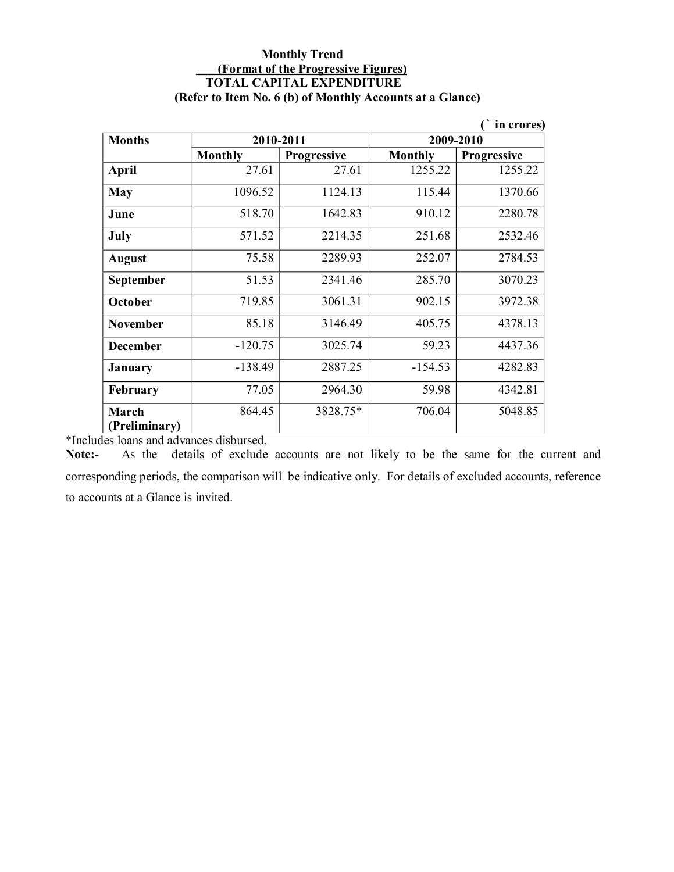### **Monthly Trend (Format of the Progressive Figures) TOTAL CAPITAL EXPENDITURE (Refer to Item No. 6 (b) of Monthly Accounts at a Glance)**

|                 |                |                    |                | in crores)         |
|-----------------|----------------|--------------------|----------------|--------------------|
| <b>Months</b>   |                | 2010-2011          |                | 2009-2010          |
|                 | <b>Monthly</b> | <b>Progressive</b> | <b>Monthly</b> | <b>Progressive</b> |
| <b>April</b>    | 27.61          | 27.61              | 1255.22        | 1255.22            |
| May             | 1096.52        | 1124.13            | 115.44         | 1370.66            |
| June            | 518.70         | 1642.83            | 910.12         | 2280.78            |
| July            | 571.52         | 2214.35            | 251.68         | 2532.46            |
| <b>August</b>   | 75.58          | 2289.93            | 252.07         | 2784.53            |
| September       | 51.53          | 2341.46            | 285.70         | 3070.23            |
| October         | 719.85         | 3061.31            | 902.15         | 3972.38            |
| <b>November</b> | 85.18          | 3146.49            | 405.75         | 4378.13            |
| <b>December</b> | $-120.75$      | 3025.74            | 59.23          | 4437.36            |
| <b>January</b>  | $-138.49$      | 2887.25            | $-154.53$      | 4282.83            |
| February        | 77.05          | 2964.30            | 59.98          | 4342.81            |
| March           | 864.45         | 3828.75*           | 706.04         | 5048.85            |
| (Preliminary)   |                |                    |                |                    |

\*Includes loans and advances disbursed.<br>**Note:** As the details of exclude

As the details of exclude accounts are not likely to be the same for the current and corresponding periods, the comparison will be indicative only. For details of excluded accounts, reference to accounts at a Glance is invited.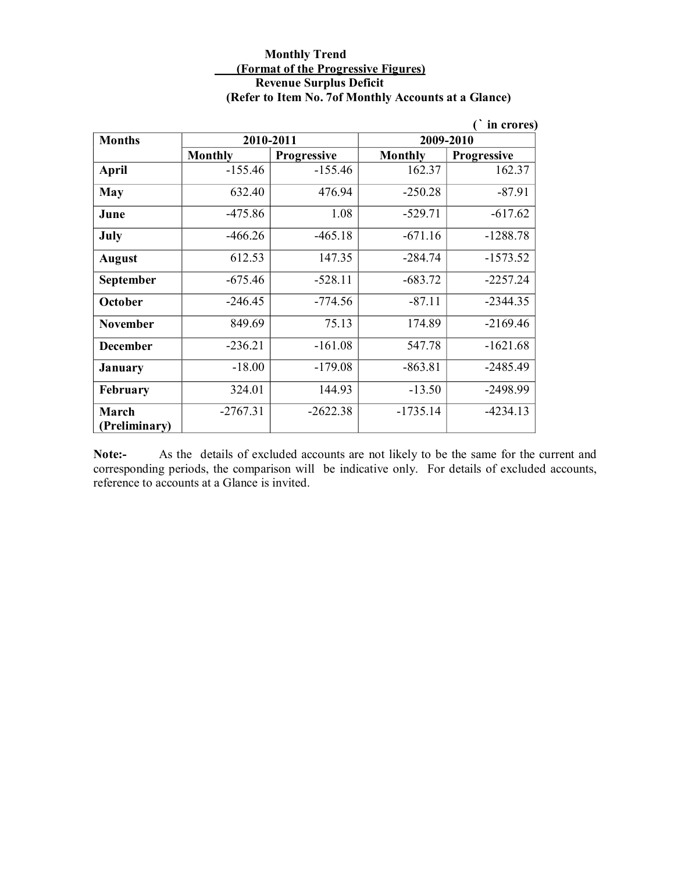### **Monthly Trend (Format of the Progressive Figures) Revenue Surplus Deficit (Refer to Item No. 7of Monthly Accounts at a Glance)**

|                        |                |                    |            | in crores)         |
|------------------------|----------------|--------------------|------------|--------------------|
| <b>Months</b>          | 2010-2011      |                    | 2009-2010  |                    |
|                        | <b>Monthly</b> | <b>Progressive</b> | Monthly    | <b>Progressive</b> |
| April                  | $-155.46$      | $-155.46$          | 162.37     | 162.37             |
| <b>May</b>             | 632.40         | 476.94             | $-250.28$  | $-87.91$           |
| June                   | $-475.86$      | 1.08               | $-529.71$  | $-617.62$          |
| July                   | $-466.26$      | $-465.18$          | $-671.16$  | $-1288.78$         |
| <b>August</b>          | 612.53         | 147.35             | $-284.74$  | $-1573.52$         |
| September              | $-675.46$      | $-528.11$          | $-683.72$  | $-2257.24$         |
| October                | $-246.45$      | $-774.56$          | $-87.11$   | $-2344.35$         |
| <b>November</b>        | 849.69         | 75.13              | 174.89     | $-2169.46$         |
| <b>December</b>        | $-236.21$      | $-161.08$          | 547.78     | $-1621.68$         |
| January                | $-18.00$       | $-179.08$          | $-863.81$  | $-2485.49$         |
| February               | 324.01         | 144.93             | $-13.50$   | $-2498.99$         |
| March<br>(Preliminary) | $-2767.31$     | $-2622.38$         | $-1735.14$ | $-4234.13$         |

**Note:** As the details of excluded accounts are not likely to be the same for the current and corresponding periods, the comparison will be indicative only. For details of excluded accounts, reference to accounts at a Glance is invited.